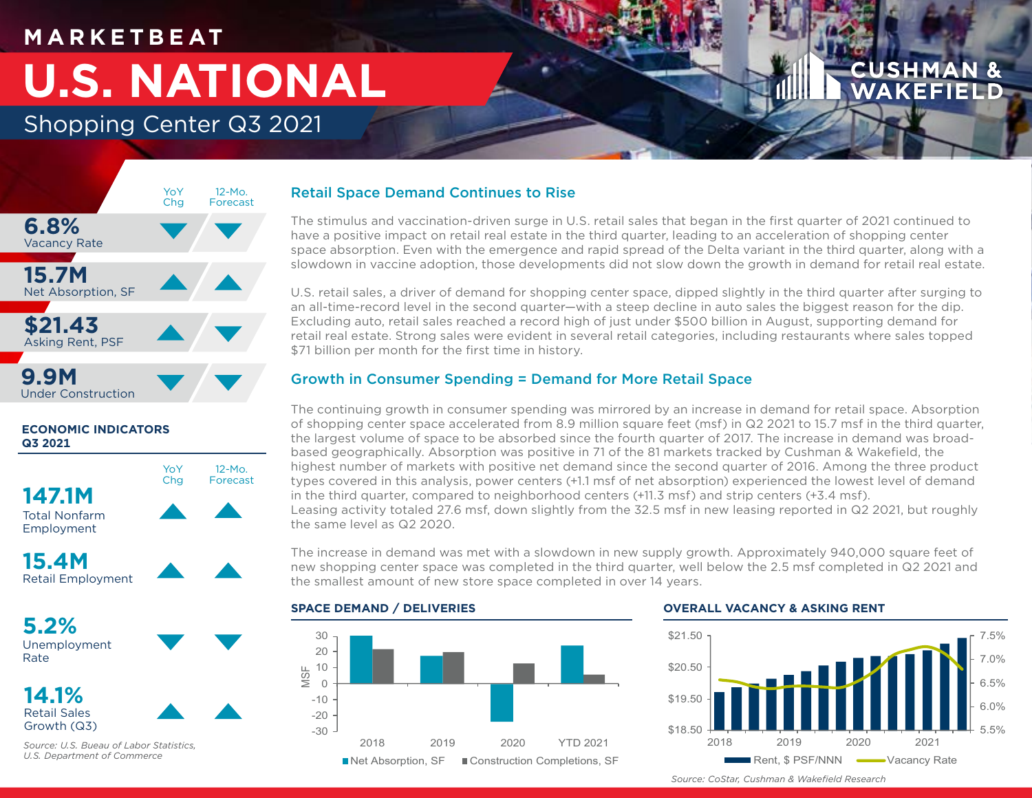## **M A R K E T B E AT**

# **U.S. NATIONAL**

Shopping Center Q3 2021



## **ECONOMIC INDICATORS Q3 2021**

**147.1M** Total Nonfarm Employment



**15.4M** Retail Employment

**5.2%** Unemployment Rate

**14.1%** Retail Sales Growth (Q3)



*Source: U.S. Bueau of Labor Statistics, U.S. Department of Commerce*

## Retail Space Demand Continues to Rise

The stimulus and vaccination-driven surge in U.S. retail sales that began in the first quarter of 2021 continued to have a positive impact on retail real estate in the third quarter, leading to an acceleration of shopping center space absorption. Even with the emergence and rapid spread of the Delta variant in the third quarter, along with a slowdown in vaccine adoption, those developments did not slow down the growth in demand for retail real estate.

U.S. retail sales, a driver of demand for shopping center space, dipped slightly in the third quarter after surging to an all-time-record level in the second quarter—with a steep decline in auto sales the biggest reason for the dip. Excluding auto, retail sales reached a record high of just under \$500 billion in August, supporting demand for retail real estate. Strong sales were evident in several retail categories, including restaurants where sales topped \$71 billion per month for the first time in history.

## Growth in Consumer Spending = Demand for More Retail Space

The continuing growth in consumer spending was mirrored by an increase in demand for retail space. Absorption of shopping center space accelerated from 8.9 million square feet (msf) in Q2 2021 to 15.7 msf in the third quarter, the largest volume of space to be absorbed since the fourth quarter of 2017. The increase in demand was broadbased geographically. Absorption was positive in 71 of the 81 markets tracked by Cushman & Wakefield, the highest number of markets with positive net demand since the second quarter of 2016. Among the three product types covered in this analysis, power centers (+1.1 msf of net absorption) experienced the lowest level of demand in the third quarter, compared to neighborhood centers (+11.3 msf) and strip centers (+3.4 msf). Leasing activity totaled 27.6 msf, down slightly from the 32.5 msf in new leasing reported in Q2 2021, but roughly the same level as Q2 2020.

The increase in demand was met with a slowdown in new supply growth. Approximately 940,000 square feet of new shopping center space was completed in the third quarter, well below the 2.5 msf completed in Q2 2021 and the smallest amount of new store space completed in over 14 years.

## **SPACE DEMAND / DELIVERIES**



## **OVERALL VACANCY & ASKING RENT**



*Source: CoStar, Cushman & Wakefield Research*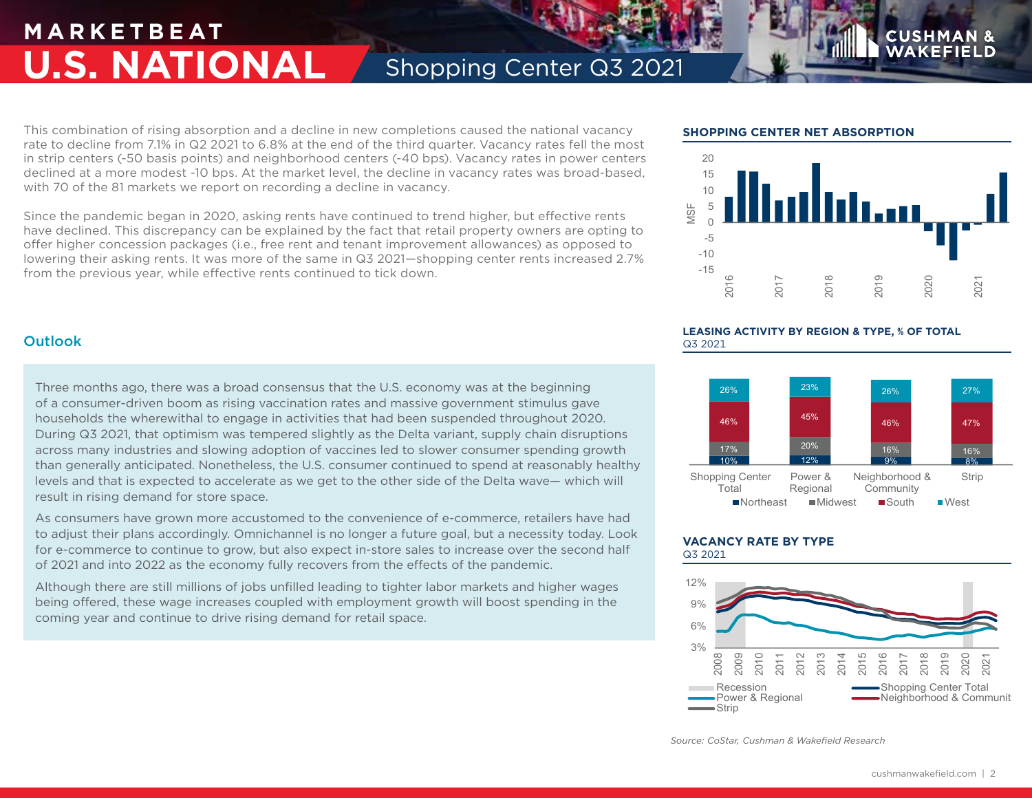## **M A R K E T B E AT U.S. NATIONAL** Shopping Center Q3 2021

This combination of rising absorption and a decline in new completions caused the national vacancy rate to decline from 7.1% in Q2 2021 to 6.8% at the end of the third quarter. Vacancy rates fell the most in strip centers (-50 basis points) and neighborhood centers (-40 bps). Vacancy rates in power centers declined at a more modest -10 bps. At the market level, the decline in vacancy rates was broad-based, with 70 of the 81 markets we report on recording a decline in vacancy.

Since the pandemic began in 2020, asking rents have continued to trend higher, but effective rents have declined. This discrepancy can be explained by the fact that retail property owners are opting to offer higher concession packages (i.e., free rent and tenant improvement allowances) as opposed to lowering their asking rents. It was more of the same in Q3 2021—shopping center rents increased 2.7% from the previous year, while effective rents continued to tick down.  $\frac{15}{2}$ 

## **SHOPPING CENTER NET ABSORPTION**



**USHM** 

## **LEASING ACTIVITY BY REGION & TYPE, % OF TOTAL** Q3 2021



### **VACANCY RATE BY TYPE** Q3 2021



*Source: CoStar, Cushman & Wakefield Research*

## **Outlook**

Three months ago, there was a broad consensus that the U.S. economy was at the beginning of a consumer-driven boom as rising vaccination rates and massive government stimulus gave households the wherewithal to engage in activities that had been suspended throughout 2020. During Q3 2021, that optimism was tempered slightly as the Delta variant, supply chain disruptions across many industries and slowing adoption of vaccines led to slower consumer spending growth than generally anticipated. Nonetheless, the U.S. consumer continued to spend at reasonably healthy levels and that is expected to accelerate as we get to the other side of the Delta wave— which will result in rising demand for store space.

As consumers have grown more accustomed to the convenience of e-commerce, retailers have had to adjust their plans accordingly. Omnichannel is no longer a future goal, but a necessity today. Look for e-commerce to continue to grow, but also expect in-store sales to increase over the second half of 2021 and into 2022 as the economy fully recovers from the effects of the pandemic.

Although there are still millions of jobs unfilled leading to tighter labor markets and higher wages being offered, these wage increases coupled with employment growth will boost spending in the coming year and continue to drive rising demand for retail space.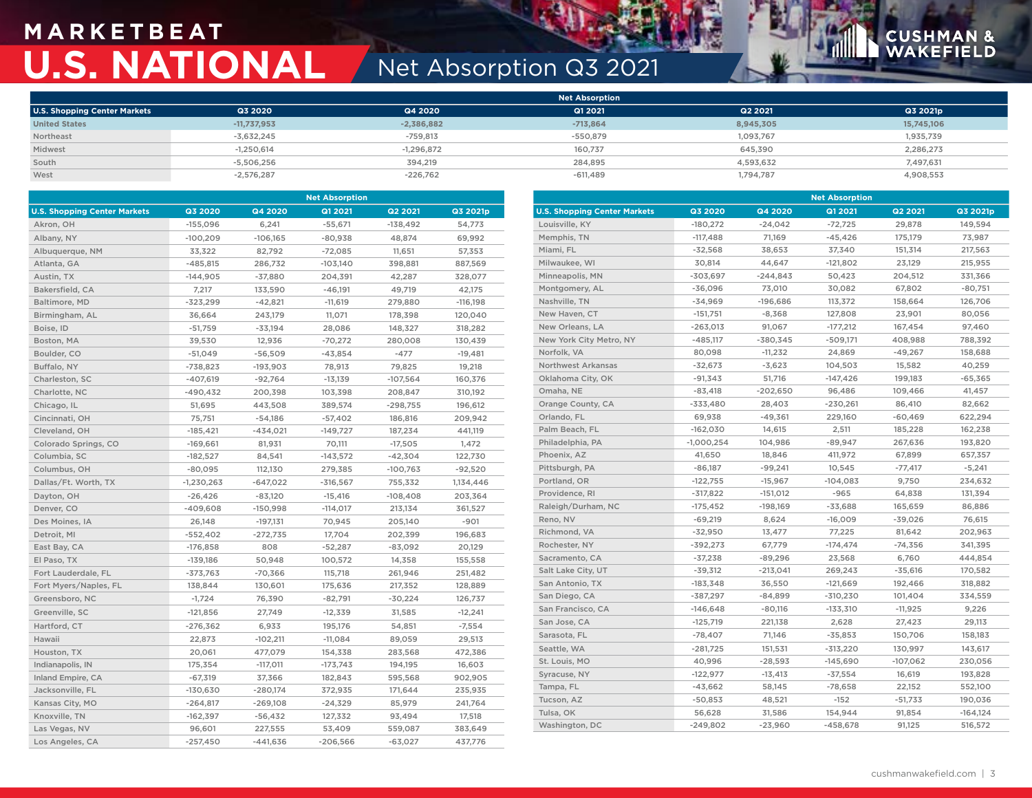# **M A R K E T B E AT U.S. NATIONAL** Net Absorption Q3 2021

# **CUSHMAN &**<br>WAKEFIELD

|                              |               |              | <b>Net Absorption</b> |           |            |
|------------------------------|---------------|--------------|-----------------------|-----------|------------|
| U.S. Shopping Center Markets | Q3 2020       | Q4 2020      | Q1 2021               | Q2 2021   | Q3 2021p   |
| <b>United States</b>         | $-11,737,953$ | $-2,386,882$ | $-713,864$            | 8,945,305 | 15,745,106 |
| Northeast                    | $-3,632,245$  | $-759,813$   | $-550,879$            | 1,093,767 | 1,935,739  |
| Midwest                      | $-1,250,614$  | $-1,296,872$ | 160.737               | 645.390   | 2,286,273  |
| South                        | $-5.506.256$  | 394.219      | 284.895               | 4.593.632 | 7.497.631  |
| West                         | $-2,576,287$  | $-226,762$   | $-611,489$            | 1,794,787 | 4,908,553  |

| <b>Net Absorption</b>               |              |            |                |            | <b>Net Absorption</b> |                                     |              |            |            |                |            |
|-------------------------------------|--------------|------------|----------------|------------|-----------------------|-------------------------------------|--------------|------------|------------|----------------|------------|
| <b>U.S. Shopping Center Markets</b> | Q3 2020      | Q4 2020    | <b>Q1 2021</b> | Q2 2021    | Q3 2021p              | <b>U.S. Shopping Center Markets</b> | Q3 2020      | Q4 2020    | Q1 2021    | <b>Q2 2021</b> | Q3 2021p   |
| Akron, OH                           | $-155,096$   | 6,241      | $-55,671$      | $-138,492$ | 54,773                | Louisville, KY                      | $-180,272$   | $-24,042$  | $-72,725$  | 29,878         | 149,594    |
| Albany, NY                          | $-100,209$   | $-106,165$ | $-80,938$      | 48,874     | 69,992                | Memphis, TN                         | $-117,488$   | 71,169     | $-45,426$  | 175,179        | 73,987     |
| Albuquerque, NM                     | 33,322       | 82,792     | $-72,085$      | 11,651     | 57,353                | Miami, FL                           | $-32,568$    | 38,653     | 37,340     | 151,314        | 217,563    |
| Atlanta, GA                         | $-485,815$   | 286,732    | $-103,140$     | 398,881    | 887,569               | Milwaukee, WI                       | 30,814       | 44,647     | $-121,802$ | 23,129         | 215,955    |
| Austin, TX                          | $-144,905$   | $-37,880$  | 204,391        | 42,287     | 328,077               | Minneapolis, MN                     | $-303,697$   | $-244.843$ | 50,423     | 204,512        | 331,366    |
| Bakersfield, CA                     | 7,217        | 133,590    | $-46,191$      | 49,719     | 42,175                | Montgomery, AL                      | $-36,096$    | 73,010     | 30,082     | 67,802         | $-80,751$  |
| Baltimore, MD                       | $-323,299$   | $-42,821$  | $-11,619$      | 279,880    | $-116,198$            | Nashville, TN                       | $-34,969$    | $-196,686$ | 113,372    | 158,664        | 126,706    |
| Birmingham, AL                      | 36,664       | 243,179    | 11,071         | 178,398    | 120,040               | New Haven, CT                       | $-151,751$   | $-8,368$   | 127,808    | 23,901         | 80,056     |
| Boise, ID                           | $-51,759$    | $-33,194$  | 28,086         | 148,327    | 318,282               | New Orleans, LA                     | $-263,013$   | 91,067     | $-177,212$ | 167,454        | 97,460     |
| Boston, MA                          | 39,530       | 12,936     | $-70,272$      | 280,008    | 130,439               | New York City Metro, NY             | $-485,117$   | $-380,345$ | $-509,171$ | 408,988        | 788,392    |
| Boulder, CO                         | $-51,049$    | $-56,509$  | $-43,854$      | $-477$     | $-19,481$             | Norfolk, VA                         | 80,098       | $-11,232$  | 24,869     | $-49,267$      | 158,688    |
| Buffalo, NY                         | $-738,823$   | $-193,903$ | 78,913         | 79,825     | 19,218                | <b>Northwest Arkansas</b>           | $-32,673$    | $-3,623$   | 104,503    | 15,582         | 40,259     |
| Charleston, SC                      | $-407,619$   | $-92,764$  | $-13,139$      | $-107,564$ | 160,376               | Oklahoma City, OK                   | $-91,343$    | 51,716     | $-147,426$ | 199,183        | $-65,365$  |
| Charlotte, NC                       | $-490,432$   | 200,398    | 103,398        | 208,847    | 310,192               | Omaha, NE                           | $-83,418$    | $-202,650$ | 96,486     | 109,466        | 41,457     |
| Chicago, IL                         | 51,695       | 443,508    | 389,574        | $-298,755$ | 196,612               | Orange County, CA                   | $-333,480$   | 28,403     | $-230,261$ | 86,410         | 82,662     |
| Cincinnati, OH                      | 75,751       | $-54,186$  | $-57,402$      | 186,816    | 209,942               | Orlando, FL                         | 69,938       | $-49,361$  | 229,160    | -60,469        | 622,294    |
| Cleveland, OH                       | $-185,421$   | $-434,021$ | $-149,727$     | 187,234    | 441,119               | Palm Beach, FL                      | $-162,030$   | 14,615     | 2,511      | 185,228        | 162,238    |
| Colorado Springs, CO                | $-169,661$   | 81,931     | 70,111         | $-17,505$  | 1,472                 | Philadelphia, PA                    | $-1,000,254$ | 104,986    | $-89,947$  | 267,636        | 193,820    |
| Columbia, SC                        | $-182,527$   | 84,541     | $-143,572$     | $-42,304$  | 122,730               | Phoenix, AZ                         | 41,650       | 18,846     | 411,972    | 67,899         | 657,357    |
| Columbus, OH                        | $-80,095$    | 112,130    | 279,385        | $-100,763$ | $-92,520$             | Pittsburgh, PA                      | $-86,187$    | $-99,241$  | 10,545     | $-77,417$      | $-5,241$   |
| Dallas/Ft. Worth, TX                | $-1,230,263$ | $-647,022$ | $-316,567$     | 755,332    | 1,134,446             | Portland, OR                        | $-122,755$   | $-15,967$  | $-104,083$ | 9,750          | 234,632    |
| Dayton, OH                          | $-26,426$    | $-83,120$  | $-15,416$      | $-108,408$ | 203,364               | Providence, RI                      | $-317,822$   | $-151,012$ | $-965$     | 64,838         | 131,394    |
| Denver, CO                          | $-409,608$   | $-150,998$ | $-114,017$     | 213,134    | 361,527               | Raleigh/Durham, NC                  | $-175,452$   | $-198,169$ | $-33,688$  | 165,659        | 86,886     |
| Des Moines, IA                      | 26,148       | $-197,131$ | 70,945         | 205,140    | $-901$                | Reno, NV                            | $-69,219$    | 8,624      | $-16,009$  | $-39,026$      | 76,615     |
| Detroit, MI                         | $-552,402$   | $-272,735$ | 17,704         | 202,399    | 196,683               | Richmond, VA                        | $-32,950$    | 13,477     | 77,225     | 81,642         | 202,963    |
| East Bay, CA                        | $-176,858$   | 808        | $-52,287$      | $-83,092$  | 20,129                | Rochester, NY                       | $-392,273$   | 67,779     | $-174,474$ | $-74,356$      | 341,395    |
| El Paso, TX                         | $-139,186$   | 50,948     | 100,572        | 14,358     | 155,558               | Sacramento, CA                      | $-37,238$    | $-89,296$  | 23,568     | 6,760          | 444,854    |
| Fort Lauderdale, FL                 | $-373,763$   | $-70,366$  | 115,718        | 261,946    | 251,482               | Salt Lake City, UT                  | $-39,312$    | $-213,041$ | 269,243    | $-35,616$      | 170,582    |
| Fort Myers/Naples, FL               | 138,844      | 130,601    | 175,636        | 217,352    | 128,889               | San Antonio, TX                     | $-183,348$   | 36,550     | $-121,669$ | 192,466        | 318,882    |
| Greensboro, NC                      | $-1,724$     | 76,390     | $-82,791$      | $-30,224$  | 126,737               | San Diego, CA                       | $-387,297$   | $-84,899$  | $-310,230$ | 101,404        | 334,559    |
| Greenville, SC                      | $-121,856$   | 27,749     | $-12,339$      | 31,585     | $-12,241$             | San Francisco, CA                   | $-146,648$   | $-80,116$  | $-133,310$ | $-11,925$      | 9,226      |
| Hartford, CT                        | $-276,362$   | 6,933      | 195,176        | 54,851     | $-7,554$              | San Jose, CA                        | $-125,719$   | 221,138    | 2,628      | 27,423         | 29,113     |
| Hawaii                              | 22,873       | $-102,211$ | $-11,084$      | 89,059     | 29,513                | Sarasota, FL                        | $-78,407$    | 71,146     | $-35,853$  | 150,706        | 158,183    |
| Houston, TX                         | 20,061       | 477,079    | 154,338        | 283,568    | 472,386               | Seattle, WA                         | $-281,725$   | 151,531    | $-313,220$ | 130,997        | 143,617    |
| Indianapolis, IN                    | 175,354      | $-117,011$ | $-173,743$     | 194,195    | 16,603                | St. Louis, MO                       | 40,996       | $-28,593$  | $-145,690$ | $-107,062$     | 230,056    |
| Inland Empire, CA                   | $-67,319$    | 37,366     | 182,843        | 595,568    | 902,905               | Syracuse, NY                        | $-122,977$   | $-13,413$  | $-37,554$  | 16,619         | 193,828    |
| Jacksonville, FL                    | $-130,630$   | $-280,174$ | 372,935        | 171,644    | 235,935               | Tampa, FL                           | $-43,662$    | 58,145     | $-78,658$  | 22,152         | 552,100    |
| Kansas City, MO                     | $-264,817$   | $-269,108$ | $-24,329$      | 85,979     | 241,764               | Tucson, AZ                          | $-50,853$    | 48,521     | $-152$     | $-51,733$      | 190,036    |
| Knoxville, TN                       | $-162,397$   | $-56,432$  | 127,332        | 93,494     | 17,518                | Tulsa, OK                           | 56,628       | 31,586     | 154,944    | 91,854         | $-164,124$ |
| Las Vegas, NV                       | 96,601       | 227,555    | 53,409         | 559,087    | 383,649               | Washington, DC                      | $-249,802$   | $-23,960$  | $-458,678$ | 91,125         | 516,572    |
| Los Angeles, CA                     | $-257,450$   | $-441,636$ | $-206,566$     | $-63,027$  | 437,776               |                                     |              |            |            |                |            |
|                                     |              |            |                |            |                       |                                     |              |            |            |                |            |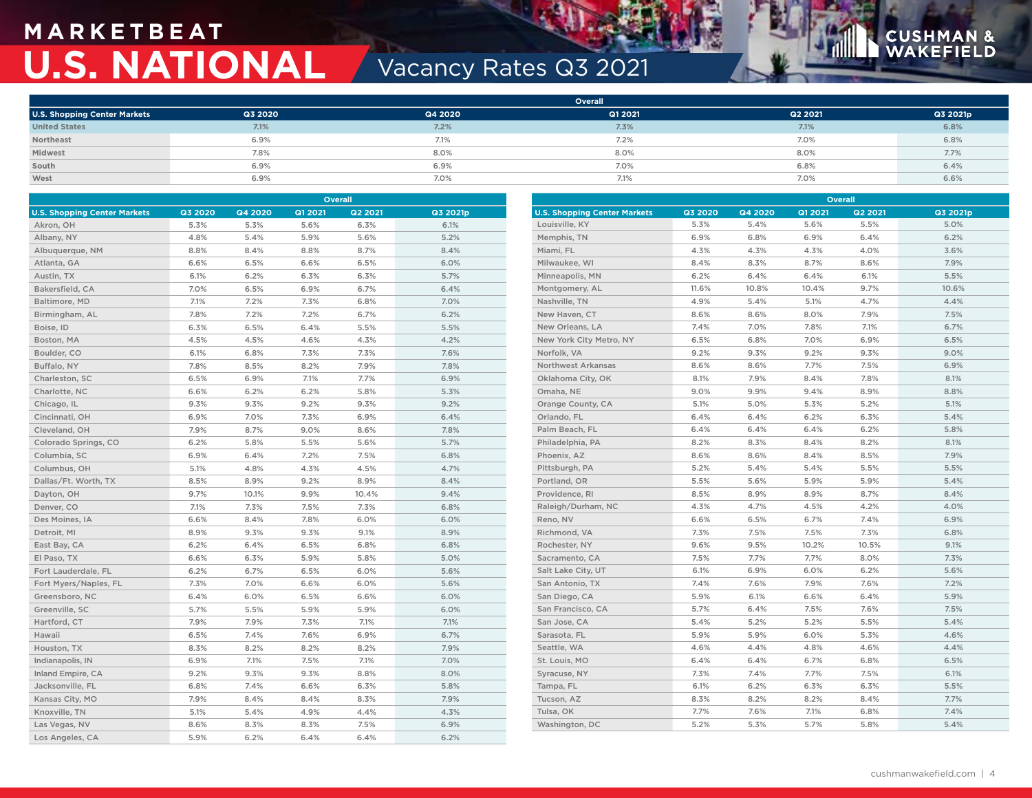# **M A R K E T B E AT U.S. NATIONAL Vacancy Rates Q3 2021**



**Overall**

|                                     |         |         | <b>Overall</b> |         |          |
|-------------------------------------|---------|---------|----------------|---------|----------|
| <b>U.S. Shopping Center Markets</b> | Q3 2020 | Q4 2020 | Q1 2021        | Q2 2021 | Q3 2021p |
| <b>United States</b>                | 7.1%    | 7.2%    | 7.3%           | 7.1%    | 6.8%     |
| Northeast                           | 6.9%    | 7.1%    | 7.2%           | 7.0%    | 6.8%     |
| Midwest                             | 7.8%    | 8.0%    | 8.0%           | 8.0%    | 7.7%     |
| South                               | 6.9%    | 6.9%    | 7.0%           | 6.8%    | 6.4%     |
| West                                | 6.9%    | 7.0%    | 7.1%           | 7.0%    | 6.6%     |

| <b>Overall</b>                      |         |         |         | <b>Overall</b> |          |                                     |                |         |         |                |          |
|-------------------------------------|---------|---------|---------|----------------|----------|-------------------------------------|----------------|---------|---------|----------------|----------|
| <b>U.S. Shopping Center Markets</b> | Q3 2020 | Q4 2020 | Q1 2021 | Q2 2021        | Q3 2021p | <b>U.S. Shopping Center Markets</b> | <b>Q3 2020</b> | Q4 2020 | Q1 2021 | <b>Q2 2021</b> | Q3 2021p |
| Akron, OH                           | 5.3%    | 5.3%    | 5.6%    | 6.3%           | 6.1%     | Louisville, KY                      | 5.3%           | 5.4%    | 5.6%    | 5.5%           | 5.0%     |
| Albany, NY                          | 4.8%    | 5.4%    | 5.9%    | 5.6%           | 5.2%     | Memphis, TN                         | 6.9%           | 6.8%    | 6.9%    | 6.4%           | 6.2%     |
| Albuquerque, NM                     | 8.8%    | 8.4%    | 8.8%    | 8.7%           | 8.4%     | Miami, FL                           | 4.3%           | 4.3%    | 4.3%    | 4.0%           | 3.6%     |
| Atlanta, GA                         | 6.6%    | 6.5%    | 6.6%    | 6.5%           | 6.0%     | Milwaukee, WI                       | 8.4%           | 8.3%    | 8.7%    | 8.6%           | 7.9%     |
| Austin, TX                          | 6.1%    | 6.2%    | 6.3%    | 6.3%           | 5.7%     | Minneapolis, MN                     | 6.2%           | 6.4%    | 6.4%    | 6.1%           | 5.5%     |
| Bakersfield, CA                     | 7.0%    | 6.5%    | 6.9%    | 6.7%           | 6.4%     | Montgomery, AL                      | 11.6%          | 10.8%   | 10.4%   | 9.7%           | 10.6%    |
| Baltimore, MD                       | 7.1%    | 7.2%    | 7.3%    | 6.8%           | 7.0%     | Nashville, TN                       | 4.9%           | 5.4%    | 5.1%    | 4.7%           | 4.4%     |
| Birmingham, AL                      | 7.8%    | 7.2%    | 7.2%    | 6.7%           | 6.2%     | New Haven, CT                       | 8.6%           | 8.6%    | 8.0%    | 7.9%           | 7.5%     |
| Boise, ID                           | 6.3%    | 6.5%    | 6.4%    | 5.5%           | 5.5%     | New Orleans, LA                     | 7.4%           | 7.0%    | 7.8%    | 7.1%           | 6.7%     |
| Boston, MA                          | 4.5%    | 4.5%    | 4.6%    | 4.3%           | 4.2%     | New York City Metro, NY             | 6.5%           | 6.8%    | 7.0%    | 6.9%           | 6.5%     |
| Boulder, CO                         | 6.1%    | 6.8%    | 7.3%    | 7.3%           | 7.6%     | Norfolk, VA                         | 9.2%           | 9.3%    | 9.2%    | 9.3%           | 9.0%     |
| Buffalo, NY                         | 7.8%    | 8.5%    | 8.2%    | 7.9%           | 7.8%     | Northwest Arkansas                  | 8.6%           | 8.6%    | 7.7%    | 7.5%           | 6.9%     |
| Charleston, SC                      | 6.5%    | 6.9%    | 7.1%    | 7.7%           | 6.9%     | Oklahoma City, OK                   | 8.1%           | 7.9%    | 8.4%    | 7.8%           | 8.1%     |
| Charlotte, NC                       | 6.6%    | 6.2%    | 6.2%    | 5.8%           | 5.3%     | Omaha, NE                           | 9.0%           | 9.9%    | 9.4%    | 8.9%           | 8.8%     |
| Chicago, IL                         | 9.3%    | 9.3%    | 9.2%    | 9.3%           | 9.2%     | Orange County, CA                   | 5.1%           | 5.0%    | 5.3%    | 5.2%           | 5.1%     |
| Cincinnati, OH                      | 6.9%    | 7.0%    | 7.3%    | 6.9%           | 6.4%     | Orlando, FL                         | 6.4%           | 6.4%    | 6.2%    | 6.3%           | 5.4%     |
| Cleveland, OH                       | 7.9%    | 8.7%    | 9.0%    | 8.6%           | 7.8%     | Palm Beach, FL                      | 6.4%           | 6.4%    | 6.4%    | 6.2%           | 5.8%     |
| Colorado Springs, CO                | 6.2%    | 5.8%    | 5.5%    | 5.6%           | 5.7%     | Philadelphia, PA                    | 8.2%           | 8.3%    | 8.4%    | 8.2%           | 8.1%     |
| Columbia, SC                        | 6.9%    | 6.4%    | 7.2%    | 7.5%           | 6.8%     | Phoenix, AZ                         | 8.6%           | 8.6%    | 8.4%    | 8.5%           | 7.9%     |
| Columbus, OH                        | 5.1%    | 4.8%    | 4.3%    | 4.5%           | 4.7%     | Pittsburgh, PA                      | 5.2%           | 5.4%    | 5.4%    | 5.5%           | 5.5%     |
| Dallas/Ft. Worth, TX                | 8.5%    | 8.9%    | 9.2%    | 8.9%           | 8.4%     | Portland, OR                        | 5.5%           | 5.6%    | 5.9%    | 5.9%           | 5.4%     |
| Dayton, OH                          | 9.7%    | 10.1%   | 9.9%    | 10.4%          | 9.4%     | Providence, RI                      | 8.5%           | 8.9%    | 8.9%    | 8.7%           | 8.4%     |
| Denver, CO                          | 7.1%    | 7.3%    | 7.5%    | 7.3%           | 6.8%     | Raleigh/Durham, NC                  | 4.3%           | 4.7%    | 4.5%    | 4.2%           | 4.0%     |
| Des Moines, IA                      | 6.6%    | 8.4%    | 7.8%    | 6.0%           | 6.0%     | Reno, NV                            | 6.6%           | 6.5%    | 6.7%    | 7.4%           | 6.9%     |
| Detroit, MI                         | 8.9%    | 9.3%    | 9.3%    | 9.1%           | 8.9%     | Richmond, VA                        | 7.3%           | 7.5%    | 7.5%    | 7.3%           | 6.8%     |
| East Bay, CA                        | 6.2%    | 6.4%    | 6.5%    | 6.8%           | 6.8%     | Rochester, NY                       | 9.6%           | 9.5%    | 10.2%   | 10.5%          | 9.1%     |
| El Paso, TX                         | 6.6%    | 6.3%    | 5.9%    | 5.8%           | 5.0%     | Sacramento, CA                      | 7.5%           | 7.7%    | 7.7%    | 8.0%           | 7.3%     |
| Fort Lauderdale, FL                 | 6.2%    | 6.7%    | 6.5%    | 6.0%           | 5.6%     | Salt Lake City, UT                  | 6.1%           | 6.9%    | 6.0%    | 6.2%           | 5.6%     |
| Fort Myers/Naples, FL               | 7.3%    | 7.0%    | 6.6%    | 6.0%           | 5.6%     | San Antonio, TX                     | 7.4%           | 7.6%    | 7.9%    | 7.6%           | 7.2%     |
| Greensboro, NC                      | 6.4%    | 6.0%    | 6.5%    | 6.6%           | 6.0%     | San Diego, CA                       | 5.9%           | 6.1%    | 6.6%    | 6.4%           | 5.9%     |
| Greenville, SC                      | 5.7%    | 5.5%    | 5.9%    | 5.9%           | 6.0%     | San Francisco, CA                   | 5.7%           | 6.4%    | 7.5%    | 7.6%           | 7.5%     |
| Hartford, CT                        | 7.9%    | 7.9%    | 7.3%    | 7.1%           | 7.1%     | San Jose, CA                        | 5.4%           | 5.2%    | 5.2%    | 5.5%           | 5.4%     |
| Hawaii                              | 6.5%    | 7.4%    | 7.6%    | 6.9%           | 6.7%     | Sarasota, FL                        | 5.9%           | 5.9%    | 6.0%    | 5.3%           | 4.6%     |
| Houston, TX                         | 8.3%    | 8.2%    | 8.2%    | 8.2%           | 7.9%     | Seattle, WA                         | 4.6%           | 4.4%    | 4.8%    | 4.6%           | 4.4%     |
| Indianapolis, IN                    | 6.9%    | 7.1%    | 7.5%    | 7.1%           | 7.0%     | St. Louis, MO                       | 6.4%           | 6.4%    | 6.7%    | 6.8%           | 6.5%     |
| Inland Empire, CA                   | 9.2%    | 9.3%    | 9.3%    | 8.8%           | 8.0%     | Syracuse, NY                        | 7.3%           | 7.4%    | 7.7%    | 7.5%           | 6.1%     |
| Jacksonville, FL                    | 6.8%    | 7.4%    | 6.6%    | 6.3%           | 5.8%     | Tampa, FL                           | 6.1%           | 6.2%    | 6.3%    | 6.3%           | 5.5%     |
| Kansas City, MO                     | 7.9%    | 8.4%    | 8.4%    | 8.3%           | 7.9%     | Tucson, AZ                          | 8.3%           | 8.2%    | 8.2%    | 8.4%           | 7.7%     |
| Knoxville, TN                       | 5.1%    | 5.4%    | 4.9%    | 4.4%           | 4.3%     | Tulsa, OK                           | 7.7%           | 7.6%    | 7.1%    | 6.8%           | 7.4%     |
| Las Vegas, NV                       | 8.6%    | 8.3%    | 8.3%    | 7.5%           | 6.9%     | Washington, DC                      | 5.2%           | 5.3%    | 5.7%    | 5.8%           | 5.4%     |
| Los Angeles, CA                     | 5.9%    | 6.2%    | 6.4%    | 6.4%           | 6.2%     |                                     |                |         |         |                |          |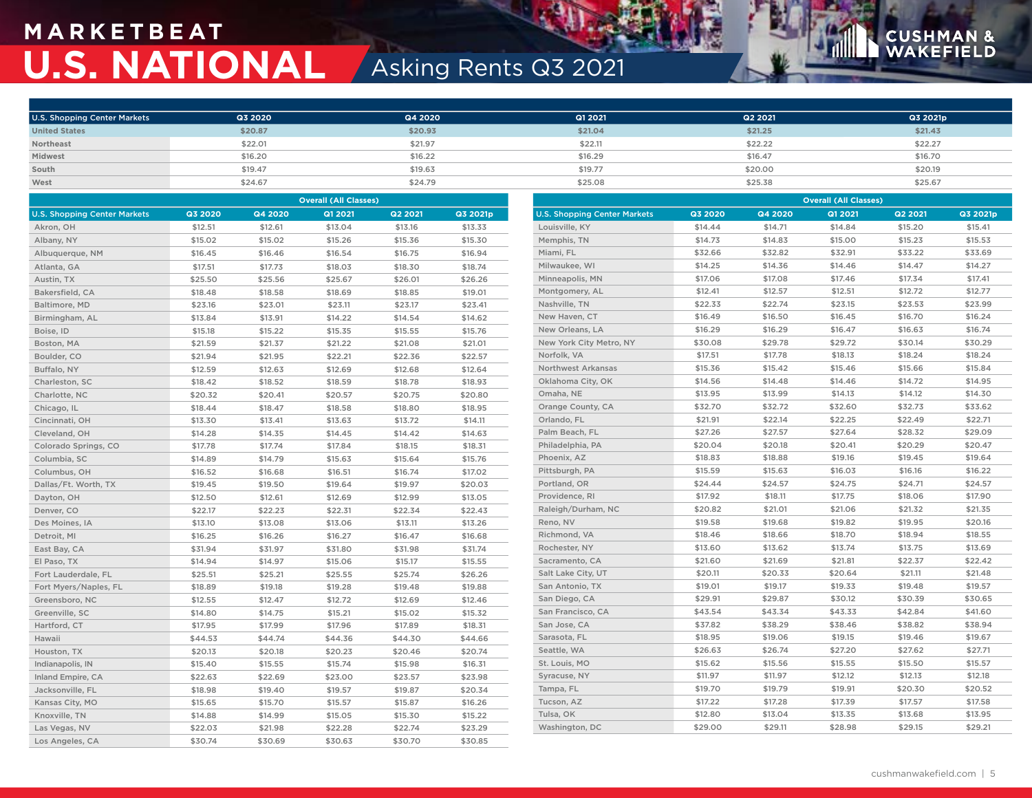# **M A R K E T B E AT U.S. NATIONAL** Asking Rents Q3 2021

# **CUSHMAN &**<br>WAKEFIELD

| <b>U.S. Shopping Center Markets</b> | Q3 2020 | Q4 2020 | Q1 2021 | Q2 2021 | Q3 2021p |
|-------------------------------------|---------|---------|---------|---------|----------|
| <b>United States</b>                | \$20.87 | \$20.93 | \$21.04 | \$21.25 | \$21.43  |
| Northeast                           | \$22.01 | \$21.97 | \$22.11 | \$22.22 | \$22.27  |
| Midwest                             | \$16,20 | \$16.22 | \$16,29 | \$16.47 | \$16,70  |
| South                               | \$19.47 | \$19.63 | \$19.77 | \$20.00 | \$20.19  |
| West                                | \$24.67 | \$24.79 | \$25.08 | \$25.38 | \$25.67  |

| <b>Overall (All Classes)</b>        |         |         |         |         | <b>Overall (All Classes)</b> |                                     |         |         |         |         |          |
|-------------------------------------|---------|---------|---------|---------|------------------------------|-------------------------------------|---------|---------|---------|---------|----------|
| <b>U.S. Shopping Center Markets</b> | Q3 2020 | Q4 2020 | Q1 2021 | Q2 2021 | Q3 2021p                     | <b>U.S. Shopping Center Markets</b> | Q3 2020 | Q4 2020 | Q1 2021 | Q2 2021 | Q3 2021p |
| Akron, OH                           | \$12.51 | \$12.61 | \$13.04 | \$13.16 | \$13.33                      | Louisville, KY                      | \$14.44 | \$14.71 | \$14.84 | \$15.20 | \$15.41  |
| Albany, NY                          | \$15.02 | \$15.02 | \$15.26 | \$15.36 | \$15.30                      | Memphis, TN                         | \$14.73 | \$14.83 | \$15.00 | \$15.23 | \$15.53  |
| Albuquerque, NM                     | \$16.45 | \$16.46 | \$16.54 | \$16.75 | \$16.94                      | Miami, FL                           | \$32.66 | \$32.82 | \$32.91 | \$33.22 | \$33.69  |
| Atlanta, GA                         | \$17.51 | \$17.73 | \$18.03 | \$18.30 | \$18.74                      | Milwaukee, WI                       | \$14.25 | \$14.36 | \$14.46 | \$14.47 | \$14.27  |
| Austin, TX                          | \$25.50 | \$25.56 | \$25.67 | \$26.01 | \$26.26                      | Minneapolis, MN                     | \$17.06 | \$17.08 | \$17.46 | \$17.34 | \$17.41  |
| Bakersfield, CA                     | \$18.48 | \$18.58 | \$18.69 | \$18.85 | \$19.01                      | Montgomery, AL                      | \$12.41 | \$12.57 | \$12.51 | \$12.72 | \$12.77  |
| Baltimore, MD                       | \$23.16 | \$23.01 | \$23.11 | \$23.17 | \$23.41                      | Nashville, TN                       | \$22.33 | \$22.74 | \$23.15 | \$23.53 | \$23.99  |
| Birmingham, AL                      | \$13.84 | \$13.91 | \$14.22 | \$14.54 | \$14.62                      | New Haven, CT                       | \$16.49 | \$16.50 | \$16.45 | \$16.70 | \$16.24  |
| Boise, ID                           | \$15.18 | \$15.22 | \$15.35 | \$15.55 | \$15.76                      | New Orleans, LA                     | \$16.29 | \$16.29 | \$16.47 | \$16.63 | \$16.74  |
| Boston, MA                          | \$21.59 | \$21.37 | \$21.22 | \$21.08 | \$21.01                      | New York City Metro, NY             | \$30.08 | \$29.78 | \$29.72 | \$30.14 | \$30.29  |
| Boulder, CO                         | \$21.94 | \$21.95 | \$22.21 | \$22.36 | \$22.57                      | Norfolk, VA                         | \$17.51 | \$17.78 | \$18.13 | \$18.24 | \$18.24  |
| Buffalo, NY                         | \$12.59 | \$12.63 | \$12.69 | \$12.68 | \$12.64                      | Northwest Arkansas                  | \$15.36 | \$15.42 | \$15.46 | \$15.66 | \$15.84  |
| Charleston, SC                      | \$18.42 | \$18.52 | \$18.59 | \$18.78 | \$18.93                      | Oklahoma City, OK                   | \$14.56 | \$14.48 | \$14.46 | \$14.72 | \$14.95  |
| Charlotte, NC                       | \$20.32 | \$20.41 | \$20.57 | \$20.75 | \$20.80                      | Omaha, NE                           | \$13.95 | \$13.99 | \$14.13 | \$14.12 | \$14.30  |
| Chicago, IL                         | \$18.44 | \$18.47 | \$18.58 | \$18.80 | \$18.95                      | Orange County, CA                   | \$32.70 | \$32.72 | \$32.60 | \$32.73 | \$33.62  |
| Cincinnati, OH                      | \$13.30 | \$13.41 | \$13.63 | \$13.72 | \$14.11                      | Orlando, FL                         | \$21.91 | \$22.14 | \$22.25 | \$22.49 | \$22.71  |
| Cleveland, OH                       | \$14.28 | \$14.35 | \$14.45 | \$14.42 | \$14.63                      | Palm Beach, FL                      | \$27.26 | \$27.57 | \$27.64 | \$28.32 | \$29.09  |
| Colorado Springs, CO                | \$17.78 | \$17.74 | \$17.84 | \$18.15 | \$18.31                      | Philadelphia, PA                    | \$20.04 | \$20.18 | \$20.41 | \$20.29 | \$20.47  |
| Columbia, SC                        | \$14.89 | \$14.79 | \$15.63 | \$15.64 | \$15.76                      | Phoenix, AZ                         | \$18.83 | \$18.88 | \$19.16 | \$19.45 | \$19.64  |
| Columbus, OH                        | \$16.52 | \$16.68 | \$16.51 | \$16.74 | \$17.02                      | Pittsburgh, PA                      | \$15.59 | \$15.63 | \$16.03 | \$16.16 | \$16.22  |
| Dallas/Ft. Worth, TX                | \$19.45 | \$19.50 | \$19.64 | \$19.97 | \$20.03                      | Portland, OR                        | \$24.44 | \$24.57 | \$24.75 | \$24.71 | \$24.57  |
| Dayton, OH                          | \$12.50 | \$12.61 | \$12.69 | \$12.99 | \$13.05                      | Providence, RI                      | \$17.92 | \$18.11 | \$17.75 | \$18.06 | \$17.90  |
| Denver, CO                          | \$22.17 | \$22.23 | \$22.31 | \$22.34 | \$22.43                      | Raleigh/Durham, NC                  | \$20.82 | \$21.01 | \$21.06 | \$21.32 | \$21.35  |
| Des Moines, IA                      | \$13.10 | \$13.08 | \$13.06 | \$13.11 | \$13.26                      | Reno, NV                            | \$19.58 | \$19.68 | \$19.82 | \$19.95 | \$20.16  |
| Detroit, MI                         | \$16.25 | \$16.26 | \$16.27 | \$16.47 | \$16.68                      | Richmond, VA                        | \$18.46 | \$18.66 | \$18.70 | \$18.94 | \$18.55  |
| East Bay, CA                        | \$31.94 | \$31.97 | \$31.80 | \$31.98 | \$31.74                      | Rochester, NY                       | \$13.60 | \$13.62 | \$13.74 | \$13.75 | \$13.69  |
| El Paso, TX                         | \$14.94 | \$14.97 | \$15.06 | \$15.17 | \$15.55                      | Sacramento, CA                      | \$21.60 | \$21.69 | \$21.81 | \$22.37 | \$22.42  |
| Fort Lauderdale, FL                 | \$25.51 | \$25.21 | \$25.55 | \$25.74 | \$26.26                      | Salt Lake City, UT                  | \$20.11 | \$20.33 | \$20.64 | \$21.11 | \$21.48  |
| Fort Myers/Naples, FL               | \$18.89 | \$19.18 | \$19.28 | \$19.48 | \$19.88                      | San Antonio, TX                     | \$19.01 | \$19.17 | \$19.33 | \$19.48 | \$19.57  |
| Greensboro, NC                      | \$12.55 | \$12.47 | \$12.72 | \$12.69 | \$12.46                      | San Diego, CA                       | \$29.91 | \$29.87 | \$30.12 | \$30.39 | \$30.65  |
| Greenville, SC                      | \$14.80 | \$14.75 | \$15.21 | \$15.02 | \$15.32                      | San Francisco, CA                   | \$43.54 | \$43.34 | \$43.33 | \$42.84 | \$41.60  |
| Hartford, CT                        | \$17.95 | \$17.99 | \$17.96 | \$17.89 | \$18.31                      | San Jose, CA                        | \$37.82 | \$38.29 | \$38.46 | \$38.82 | \$38.94  |
| Hawaii                              | \$44.53 | \$44.74 | \$44.36 | \$44.30 | \$44.66                      | Sarasota, FL                        | \$18.95 | \$19.06 | \$19.15 | \$19.46 | \$19.67  |
| Houston, TX                         | \$20.13 | \$20.18 | \$20.23 | \$20.46 | \$20.74                      | Seattle, WA                         | \$26.63 | \$26.74 | \$27.20 | \$27.62 | \$27.71  |
| Indianapolis, IN                    | \$15.40 | \$15.55 | \$15.74 | \$15.98 | \$16.31                      | St. Louis, MO                       | \$15.62 | \$15.56 | \$15.55 | \$15.50 | \$15.57  |
| Inland Empire, CA                   | \$22.63 | \$22.69 | \$23.00 | \$23.57 | \$23.98                      | Syracuse, NY                        | \$11.97 | \$11.97 | \$12.12 | \$12.13 | \$12.18  |
| Jacksonville, FL                    | \$18.98 | \$19.40 | \$19.57 | \$19.87 | \$20.34                      | Tampa, FL                           | \$19.70 | \$19.79 | \$19.91 | \$20.30 | \$20.52  |
| Kansas City, MO                     | \$15.65 | \$15.70 | \$15.57 | \$15.87 | \$16.26                      | Tucson, AZ                          | \$17.22 | \$17.28 | \$17.39 | \$17.57 | \$17.58  |
| Knoxville, TN                       | \$14.88 | \$14.99 | \$15.05 | \$15.30 | \$15.22                      | Tulsa, OK                           | \$12.80 | \$13.04 | \$13.35 | \$13.68 | \$13.95  |
| Las Vegas, NV                       | \$22.03 | \$21.98 | \$22.28 | \$22.74 | \$23.29                      | Washington, DC                      | \$29.00 | \$29.11 | \$28.98 | \$29.15 | \$29.21  |
| Los Angeles, CA                     | \$30.74 | \$30.69 | \$30.63 | \$30.70 | \$30.85                      |                                     |         |         |         |         |          |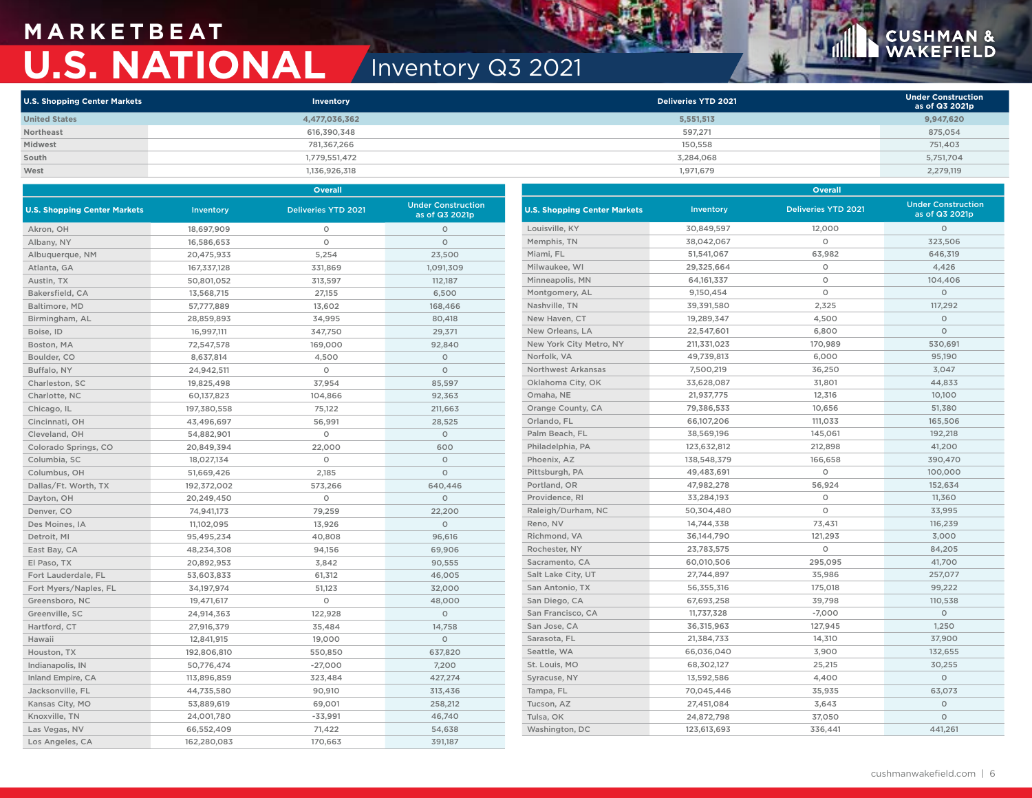## **M A R K E T B E AT U.S. NATIONAL** Inventory Q3 2021

# **CUSHMAN &**<br>WAKEFIELD

| <b>U.S. Shopping Center Markets</b> | Inventory     | Deliveries YTD 2021 | <b>Under Construction</b><br>as of Q3 2021p |
|-------------------------------------|---------------|---------------------|---------------------------------------------|
| <b>United States</b>                | 4,477,036,362 | 5,551,513           | 9,947,620                                   |
| Northeast                           | 616,390,348   | 597,271             | 875,054                                     |
| Midwest                             | 781.367.266   | 150.558             | 751,403                                     |
| South                               | 1,779,551,472 | 3.284.068           | 5,751,704                                   |
| West                                | 1,136,926,318 | 1,971,679           | 2,279,119                                   |

|                                     |             | <b>Overall</b>             |                                             | Overall                             |              |                            |                                             |  |  |
|-------------------------------------|-------------|----------------------------|---------------------------------------------|-------------------------------------|--------------|----------------------------|---------------------------------------------|--|--|
| <b>U.S. Shopping Center Markets</b> | Inventory   | <b>Deliveries YTD 2021</b> | <b>Under Construction</b><br>as of Q3 2021p | <b>U.S. Shopping Center Markets</b> | Inventory    | <b>Deliveries YTD 2021</b> | <b>Under Construction</b><br>as of Q3 2021p |  |  |
| Akron, OH                           | 18,697,909  | $\circ$                    | $\circ$                                     | Louisville, KY                      | 30,849,597   | 12,000                     | $\circ$                                     |  |  |
| Albany, NY                          | 16,586,653  | $\circ$                    | $\circ$                                     | Memphis, TN                         | 38,042,067   | $\circ$                    | 323,506                                     |  |  |
| Albuquerque, NM                     | 20,475,933  | 5,254                      | 23,500                                      | Miami, FL                           | 51,541,067   | 63,982                     | 646,319                                     |  |  |
| Atlanta, GA                         | 167,337,128 | 331,869                    | 1,091,309                                   | Milwaukee, WI                       | 29,325,664   | $\circ$                    | 4,426                                       |  |  |
| Austin, TX                          | 50,801,052  | 313,597                    | 112,187                                     | Minneapolis, MN                     | 64, 161, 337 | $\circ$                    | 104,406                                     |  |  |
| Bakersfield, CA                     | 13,568,715  | 27,155                     | 6,500                                       | Montgomery, AL                      | 9,150,454    | $\circ$                    | $\circ$                                     |  |  |
| Baltimore, MD                       | 57,777,889  | 13,602                     | 168,466                                     | Nashville, TN                       | 39,391,580   | 2,325                      | 117,292                                     |  |  |
| Birmingham, AL                      | 28,859,893  | 34,995                     | 80,418                                      | New Haven, CT                       | 19,289,347   | 4,500                      | $\circ$                                     |  |  |
| Boise, ID                           | 16,997,111  | 347,750                    | 29,371                                      | New Orleans, LA                     | 22,547,601   | 6,800                      | $\circ$                                     |  |  |
| Boston, MA                          | 72,547,578  | 169,000                    | 92,840                                      | New York City Metro, NY             | 211,331,023  | 170,989                    | 530,691                                     |  |  |
| Boulder, CO                         | 8,637,814   | 4,500                      | $\circ$                                     | Norfolk, VA                         | 49,739,813   | 6,000                      | 95,190                                      |  |  |
| Buffalo, NY                         | 24,942,511  | $\circ$                    | $\circ$                                     | <b>Northwest Arkansas</b>           | 7,500,219    | 36,250                     | 3,047                                       |  |  |
| Charleston, SC                      | 19,825,498  | 37,954                     | 85,597                                      | Oklahoma City, OK                   | 33,628,087   | 31,801                     | 44,833                                      |  |  |
| Charlotte, NC                       | 60,137,823  | 104,866                    | 92,363                                      | Omaha, NE                           | 21,937,775   | 12,316                     | 10,100                                      |  |  |
| Chicago, IL                         | 197,380,558 | 75,122                     | 211,663                                     | Orange County, CA                   | 79,386,533   | 10,656                     | 51,380                                      |  |  |
| Cincinnati, OH                      | 43,496,697  | 56,991                     | 28,525                                      | Orlando, FL                         | 66,107,206   | 111,033                    | 165,506                                     |  |  |
| Cleveland, OH                       | 54,882,901  | $\circ$                    | $\circ$                                     | Palm Beach, FL                      | 38,569,196   | 145,061                    | 192,218                                     |  |  |
| Colorado Springs, CO                | 20,849,394  | 22,000                     | 600                                         | Philadelphia, PA                    | 123,632,812  | 212,898                    | 41,200                                      |  |  |
| Columbia, SC                        | 18,027,134  | $\circ$                    | $\circ$                                     | Phoenix, AZ                         | 138,548,379  | 166,658                    | 390,470                                     |  |  |
| Columbus, OH                        | 51,669,426  | 2,185                      | $\circ$                                     | Pittsburgh, PA                      | 49,483,691   | $\circ$                    | 100,000                                     |  |  |
| Dallas/Ft. Worth, TX                | 192,372,002 | 573,266                    | 640.446                                     | Portland, OR                        | 47,982,278   | 56,924                     | 152,634                                     |  |  |
| Dayton, OH                          | 20,249,450  | $\circ$                    | $\circ$                                     | Providence, RI                      | 33,284,193   | $\circ$                    | 11,360                                      |  |  |
| Denver, CO                          | 74,941,173  | 79,259                     | 22,200                                      | Raleigh/Durham, NC                  | 50,304,480   | $\circ$                    | 33,995                                      |  |  |
| Des Moines, IA                      | 11,102,095  | 13,926                     | $\circ$                                     | Reno, NV                            | 14,744,338   | 73,431                     | 116,239                                     |  |  |
| Detroit, MI                         | 95,495,234  | 40,808                     | 96,616                                      | Richmond, VA                        | 36,144,790   | 121,293                    | 3,000                                       |  |  |
| East Bay, CA                        | 48,234,308  | 94,156                     | 69,906                                      | Rochester, NY                       | 23,783,575   | $\circ$                    | 84,205                                      |  |  |
| El Paso, TX                         | 20,892,953  | 3,842                      | 90,555                                      | Sacramento, CA                      | 60,010,506   | 295,095                    | 41,700                                      |  |  |
| Fort Lauderdale, FL                 | 53,603,833  | 61,312                     | 46,005                                      | Salt Lake City, UT                  | 27,744,897   | 35,986                     | 257,077                                     |  |  |
| Fort Myers/Naples, FL               | 34,197,974  | 51,123                     | 32,000                                      | San Antonio, TX                     | 56,355,316   | 175,018                    | 99,222                                      |  |  |
| Greensboro, NC                      | 19,471,617  | $\circ$                    | 48,000                                      | San Diego, CA                       | 67,693,258   | 39,798                     | 110,538                                     |  |  |
| Greenville, SC                      | 24,914,363  | 122,928                    | $\circ$                                     | San Francisco, CA                   | 11,737,328   | $-7,000$                   | $\circ$                                     |  |  |
| Hartford, CT                        | 27,916,379  | 35,484                     | 14,758                                      | San Jose, CA                        | 36,315,963   | 127,945                    | 1,250                                       |  |  |
| Hawaii                              | 12,841,915  | 19,000                     | $\circ$                                     | Sarasota, FL                        | 21,384,733   | 14,310                     | 37,900                                      |  |  |
| Houston, TX                         | 192,806,810 | 550,850                    | 637,820                                     | Seattle, WA                         | 66,036,040   | 3,900                      | 132,655                                     |  |  |
| Indianapolis, IN                    | 50,776,474  | $-27,000$                  | 7,200                                       | St. Louis, MO                       | 68,302,127   | 25,215                     | 30,255                                      |  |  |
| Inland Empire, CA                   | 113,896,859 | 323,484                    | 427,274                                     | Syracuse, NY                        | 13,592,586   | 4,400                      | $\circ$                                     |  |  |
| Jacksonville, FL                    | 44,735,580  | 90,910                     | 313,436                                     | Tampa, FL                           | 70,045,446   | 35,935                     | 63,073                                      |  |  |
| Kansas City, MO                     | 53,889,619  | 69,001                     | 258,212                                     | Tucson, AZ                          | 27,451,084   | 3,643                      | $\circ$                                     |  |  |
| Knoxville, TN                       | 24,001,780  | $-33,991$                  | 46,740                                      | Tulsa, OK                           | 24,872,798   | 37,050                     | $\circ$                                     |  |  |
| Las Vegas, NV                       | 66,552,409  | 71,422                     | 54,638                                      | Washington, DC                      | 123,613,693  | 336,441                    | 441,261                                     |  |  |
| Los Angeles, CA                     | 162,280,083 | 170,663                    | 391,187                                     |                                     |              |                            |                                             |  |  |